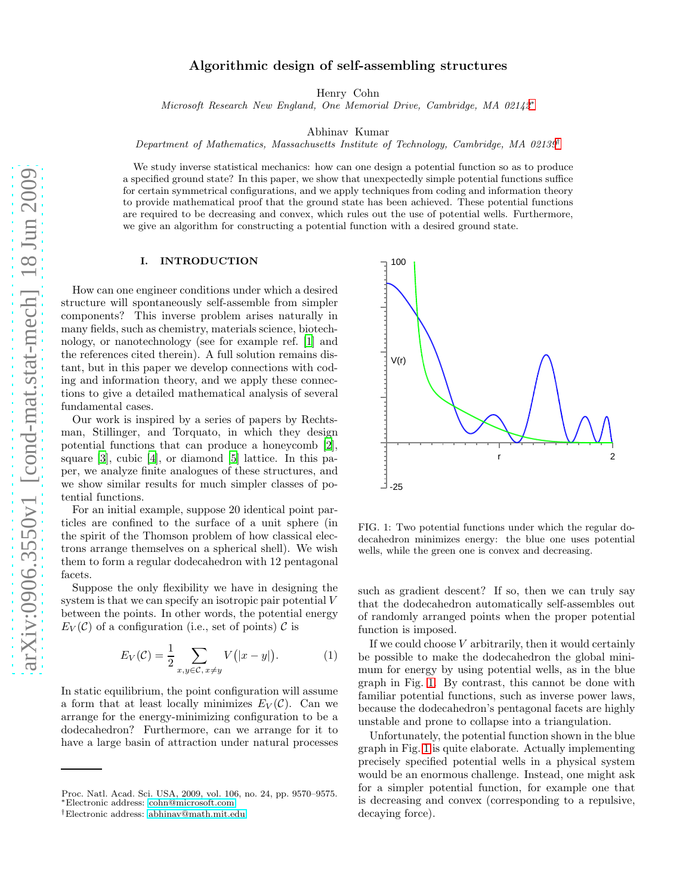# Algorithmic design of self-assembling structures

Henry Cohn

Microsoft Research New England, One Memorial Drive, Cambridge, MA 02142[∗](#page-0-0)

Abhinav Kumar

Department of Mathematics, Massachusetts Institute of Technology, Cambridge, MA 02139[†](#page-0-1)

We study inverse statistical mechanics: how can one design a potential function so as to produce a specified ground state? In this paper, we show that unexpectedly simple potential functions suffice for certain symmetrical configurations, and we apply techniques from coding and information theory to provide mathematical proof that the ground state has been achieved. These potential functions are required to be decreasing and convex, which rules out the use of potential wells. Furthermore, we give an algorithm for constructing a potential function with a desired ground state.

# I. INTRODUCTION

How can one engineer conditions under which a desired structure will spontaneously self-assemble from simpler components? This inverse problem arises naturally in many fields, such as chemistry, materials science, biotechnology, or nanotechnology (see for example ref. [\[1](#page-7-0)] and the references cited therein). A full solution remains distant, but in this paper we develop connections with coding and information theory, and we apply these connections to give a detailed mathematical analysis of several fundamental cases.

Our work is inspired by a series of papers by Rechtsman, Stillinger, and Torquato, in which they design potential functions that can produce a honeycomb [\[2\]](#page-7-1), square [\[3\]](#page-7-2), cubic [\[4\]](#page-7-3), or diamond [\[5](#page-7-4)] lattice. In this paper, we analyze finite analogues of these structures, and we show similar results for much simpler classes of potential functions.

For an initial example, suppose 20 identical point particles are confined to the surface of a unit sphere (in the spirit of the Thomson problem of how classical electrons arrange themselves on a spherical shell). We wish them to form a regular dodecahedron with 12 pentagonal facets.

Suppose the only flexibility we have in designing the system is that we can specify an isotropic pair potential V between the points. In other words, the potential energy  $E_V(\mathcal{C})$  of a configuration (i.e., set of points)  $\mathcal{C}$  is

<span id="page-0-3"></span>
$$
E_V(\mathcal{C}) = \frac{1}{2} \sum_{x,y \in \mathcal{C}, x \neq y} V(|x - y|). \tag{1}
$$

In static equilibrium, the point configuration will assume a form that at least locally minimizes  $E_V(\mathcal{C})$ . Can we arrange for the energy-minimizing configuration to be a dodecahedron? Furthermore, can we arrange for it to have a large basin of attraction under natural processes



<span id="page-0-2"></span>FIG. 1: Two potential functions under which the regular dodecahedron minimizes energy: the blue one uses potential wells, while the green one is convex and decreasing.

such as gradient descent? If so, then we can truly say that the dodecahedron automatically self-assembles out of randomly arranged points when the proper potential function is imposed.

If we could choose  $V$  arbitrarily, then it would certainly be possible to make the dodecahedron the global minimum for energy by using potential wells, as in the blue graph in Fig. [1.](#page-0-2) By contrast, this cannot be done with familiar potential functions, such as inverse power laws, because the dodecahedron's pentagonal facets are highly unstable and prone to collapse into a triangulation.

Unfortunately, the potential function shown in the blue graph in Fig. [1](#page-0-2) is quite elaborate. Actually implementing precisely specified potential wells in a physical system would be an enormous challenge. Instead, one might ask for a simpler potential function, for example one that is decreasing and convex (corresponding to a repulsive, decaying force).

Proc. Natl. Acad. Sci. USA, 2009, vol. 106, no. 24, pp. 9570–9575. <sup>∗</sup>Electronic address: [cohn@microsoft.com](mailto:cohn@microsoft.com)

<span id="page-0-1"></span><span id="page-0-0"></span><sup>†</sup>Electronic address: [abhinav@math.mit.edu](mailto:abhinav@math.mit.edu)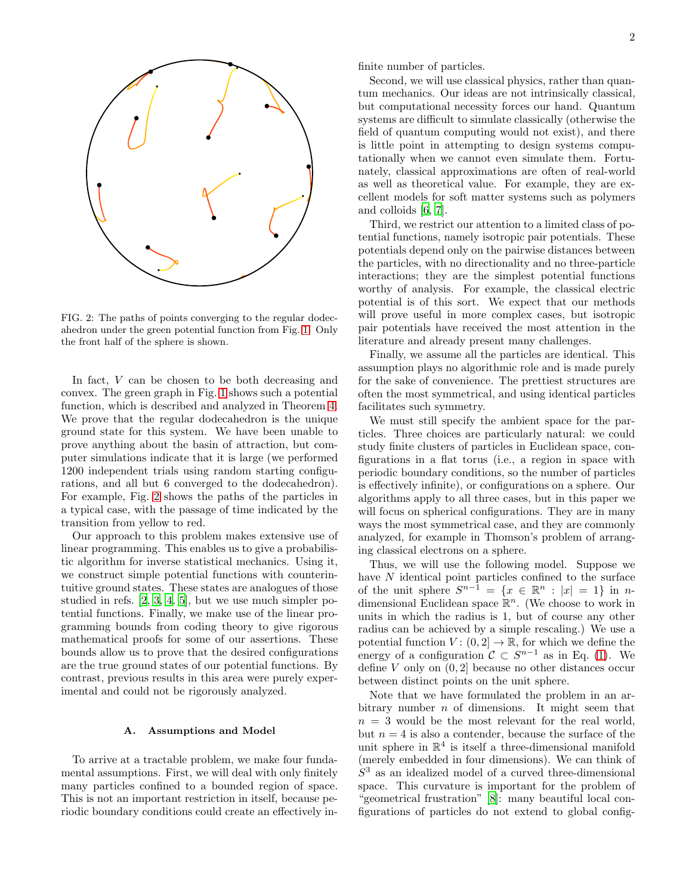

<span id="page-1-0"></span>FIG. 2: The paths of points converging to the regular dodecahedron under the green potential function from Fig. [1.](#page-0-2) Only the front half of the sphere is shown.

In fact, V can be chosen to be both decreasing and convex. The green graph in Fig. [1](#page-0-2) shows such a potential function, which is described and analyzed in Theorem [4.](#page-6-0) We prove that the regular dodecahedron is the unique ground state for this system. We have been unable to prove anything about the basin of attraction, but computer simulations indicate that it is large (we performed 1200 independent trials using random starting configurations, and all but 6 converged to the dodecahedron). For example, Fig. [2](#page-1-0) shows the paths of the particles in a typical case, with the passage of time indicated by the transition from yellow to red.

Our approach to this problem makes extensive use of linear programming. This enables us to give a probabilistic algorithm for inverse statistical mechanics. Using it, we construct simple potential functions with counterintuitive ground states. These states are analogues of those studied in refs. [\[2](#page-7-1), [3](#page-7-2), [4,](#page-7-3) [5\]](#page-7-4), but we use much simpler potential functions. Finally, we make use of the linear programming bounds from coding theory to give rigorous mathematical proofs for some of our assertions. These bounds allow us to prove that the desired configurations are the true ground states of our potential functions. By contrast, previous results in this area were purely experimental and could not be rigorously analyzed.

### A. Assumptions and Model

To arrive at a tractable problem, we make four fundamental assumptions. First, we will deal with only finitely many particles confined to a bounded region of space. This is not an important restriction in itself, because periodic boundary conditions could create an effectively infinite number of particles.

Second, we will use classical physics, rather than quantum mechanics. Our ideas are not intrinsically classical, but computational necessity forces our hand. Quantum systems are difficult to simulate classically (otherwise the field of quantum computing would not exist), and there is little point in attempting to design systems computationally when we cannot even simulate them. Fortunately, classical approximations are often of real-world as well as theoretical value. For example, they are excellent models for soft matter systems such as polymers and colloids [\[6,](#page-7-5) [7\]](#page-7-6).

Third, we restrict our attention to a limited class of potential functions, namely isotropic pair potentials. These potentials depend only on the pairwise distances between the particles, with no directionality and no three-particle interactions; they are the simplest potential functions worthy of analysis. For example, the classical electric potential is of this sort. We expect that our methods will prove useful in more complex cases, but isotropic pair potentials have received the most attention in the literature and already present many challenges.

Finally, we assume all the particles are identical. This assumption plays no algorithmic role and is made purely for the sake of convenience. The prettiest structures are often the most symmetrical, and using identical particles facilitates such symmetry.

We must still specify the ambient space for the particles. Three choices are particularly natural: we could study finite clusters of particles in Euclidean space, configurations in a flat torus (i.e., a region in space with periodic boundary conditions, so the number of particles is effectively infinite), or configurations on a sphere. Our algorithms apply to all three cases, but in this paper we will focus on spherical configurations. They are in many ways the most symmetrical case, and they are commonly analyzed, for example in Thomson's problem of arranging classical electrons on a sphere.

Thus, we will use the following model. Suppose we have N identical point particles confined to the surface of the unit sphere  $S^{n-1} = \{x \in \mathbb{R}^n : |x| = 1\}$  in ndimensional Euclidean space  $\mathbb{R}^n$ . (We choose to work in units in which the radius is 1, but of course any other radius can be achieved by a simple rescaling.) We use a potential function  $V: (0, 2] \to \mathbb{R}$ , for which we define the energy of a configuration  $\mathcal{C} \subset S^{n-1}$  as in Eq. [\(1\)](#page-0-3). We define  $V$  only on  $(0, 2]$  because no other distances occur between distinct points on the unit sphere.

Note that we have formulated the problem in an arbitrary number  $n$  of dimensions. It might seem that  $n = 3$  would be the most relevant for the real world, but  $n = 4$  is also a contender, because the surface of the unit sphere in  $\mathbb{R}^4$  is itself a three-dimensional manifold (merely embedded in four dimensions). We can think of  $S<sup>3</sup>$  as an idealized model of a curved three-dimensional space. This curvature is important for the problem of "geometrical frustration" [\[8\]](#page-7-7): many beautiful local configurations of particles do not extend to global config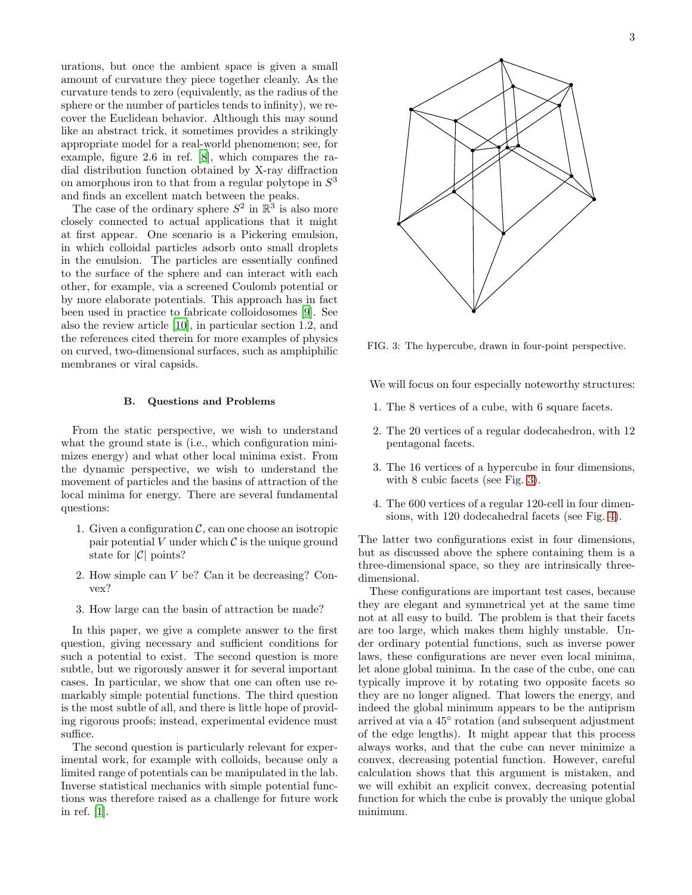urations, but once the ambient space is given a small amount of curvature they piece together cleanly. As the curvature tends to zero (equivalently, as the radius of the sphere or the number of particles tends to infinity), we recover the Euclidean behavior. Although this may sound like an abstract trick, it sometimes provides a strikingly appropriate model for a real-world phenomenon; see, for example, figure 2.6 in ref. [\[8](#page-7-7)], which compares the radial distribution function obtained by X-ray diffraction on amorphous iron to that from a regular polytope in  $S^3$ and finds an excellent match between the peaks.

The case of the ordinary sphere  $S^2$  in  $\mathbb{R}^3$  is also more closely connected to actual applications that it might at first appear. One scenario is a Pickering emulsion, in which colloidal particles adsorb onto small droplets in the emulsion. The particles are essentially confined to the surface of the sphere and can interact with each other, for example, via a screened Coulomb potential or by more elaborate potentials. This approach has in fact been used in practice to fabricate colloidosomes [\[9](#page-7-8)]. See also the review article [\[10](#page-7-9)], in particular section 1.2, and the references cited therein for more examples of physics on curved, two-dimensional surfaces, such as amphiphilic membranes or viral capsids.

#### B. Questions and Problems

From the static perspective, we wish to understand what the ground state is (i.e., which configuration minimizes energy) and what other local minima exist. From the dynamic perspective, we wish to understand the movement of particles and the basins of attraction of the local minima for energy. There are several fundamental questions:

- 1. Given a configuration  $\mathcal{C}$ , can one choose an isotropic pair potential V under which  $\mathcal C$  is the unique ground state for  $|\mathcal{C}|$  points?
- 2. How simple can V be? Can it be decreasing? Convex?
- 3. How large can the basin of attraction be made?

In this paper, we give a complete answer to the first question, giving necessary and sufficient conditions for such a potential to exist. The second question is more subtle, but we rigorously answer it for several important cases. In particular, we show that one can often use remarkably simple potential functions. The third question is the most subtle of all, and there is little hope of providing rigorous proofs; instead, experimental evidence must suffice.

The second question is particularly relevant for experimental work, for example with colloids, because only a limited range of potentials can be manipulated in the lab. Inverse statistical mechanics with simple potential functions was therefore raised as a challenge for future work in ref. [\[1\]](#page-7-0).



<span id="page-2-0"></span>FIG. 3: The hypercube, drawn in four-point perspective.

We will focus on four especially noteworthy structures:

- 1. The 8 vertices of a cube, with 6 square facets.
- 2. The 20 vertices of a regular dodecahedron, with 12 pentagonal facets.
- 3. The 16 vertices of a hypercube in four dimensions, with 8 cubic facets (see Fig. [3\)](#page-2-0).
- 4. The 600 vertices of a regular 120-cell in four dimensions, with 120 dodecahedral facets (see Fig. [4\)](#page-3-0).

The latter two configurations exist in four dimensions, but as discussed above the sphere containing them is a three-dimensional space, so they are intrinsically threedimensional.

These configurations are important test cases, because they are elegant and symmetrical yet at the same time not at all easy to build. The problem is that their facets are too large, which makes them highly unstable. Under ordinary potential functions, such as inverse power laws, these configurations are never even local minima, let alone global minima. In the case of the cube, one can typically improve it by rotating two opposite facets so they are no longer aligned. That lowers the energy, and indeed the global minimum appears to be the antiprism arrived at via a 45◦ rotation (and subsequent adjustment of the edge lengths). It might appear that this process always works, and that the cube can never minimize a convex, decreasing potential function. However, careful calculation shows that this argument is mistaken, and we will exhibit an explicit convex, decreasing potential function for which the cube is provably the unique global minimum.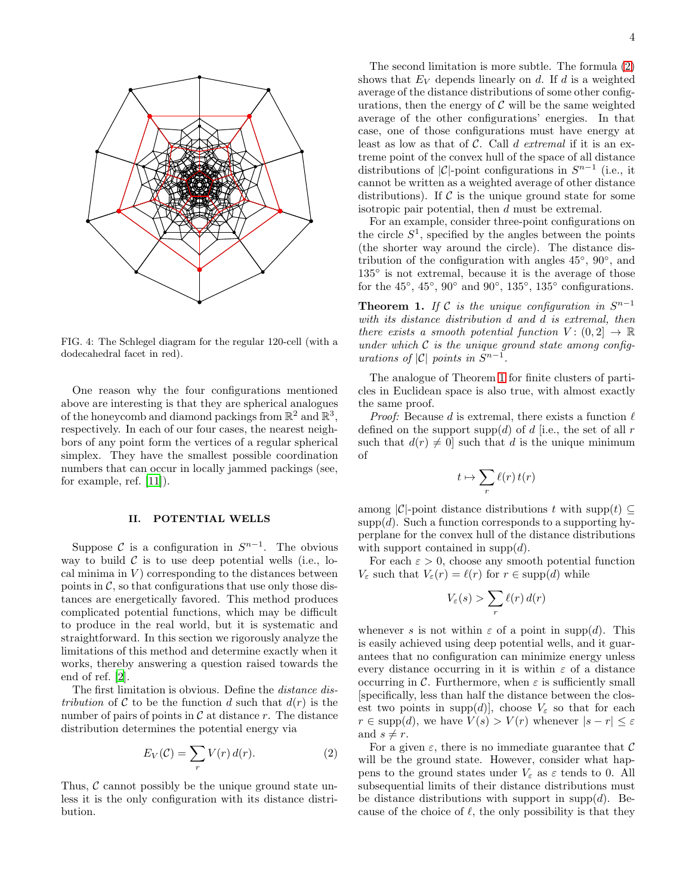

<span id="page-3-0"></span>FIG. 4: The Schlegel diagram for the regular 120-cell (with a dodecahedral facet in red).

One reason why the four configurations mentioned above are interesting is that they are spherical analogues of the honeycomb and diamond packings from  $\mathbb{R}^2$  and  $\mathbb{R}^3$ , respectively. In each of our four cases, the nearest neighbors of any point form the vertices of a regular spherical simplex. They have the smallest possible coordination numbers that can occur in locally jammed packings (see, for example, ref. [\[11](#page-7-10)]).

### II. POTENTIAL WELLS

Suppose  $\mathcal C$  is a configuration in  $S^{n-1}$ . The obvious way to build  $\mathcal C$  is to use deep potential wells (i.e., local minima in  $V$ ) corresponding to the distances between points in  $\mathcal{C}$ , so that configurations that use only those distances are energetically favored. This method produces complicated potential functions, which may be difficult to produce in the real world, but it is systematic and straightforward. In this section we rigorously analyze the limitations of this method and determine exactly when it works, thereby answering a question raised towards the end of ref. [\[2](#page-7-1)].

The first limitation is obvious. Define the *distance distribution* of C to be the function d such that  $d(r)$  is the number of pairs of points in  $\mathcal C$  at distance r. The distance distribution determines the potential energy via

<span id="page-3-1"></span>
$$
E_V(\mathcal{C}) = \sum_r V(r) d(r). \tag{2}
$$

Thus,  $\mathcal C$  cannot possibly be the unique ground state unless it is the only configuration with its distance distribution.

The second limitation is more subtle. The formula [\(2\)](#page-3-1) shows that  $E_V$  depends linearly on d. If d is a weighted average of the distance distributions of some other configurations, then the energy of  $\mathcal C$  will be the same weighted average of the other configurations' energies. In that case, one of those configurations must have energy at least as low as that of C. Call d *extremal* if it is an extreme point of the convex hull of the space of all distance distributions of |C|-point configurations in  $S^{n-1}$  (i.e., it cannot be written as a weighted average of other distance distributions). If  $\mathcal C$  is the unique ground state for some isotropic pair potential, then d must be extremal.

For an example, consider three-point configurations on the circle  $S^1$ , specified by the angles between the points (the shorter way around the circle). The distance distribution of the configuration with angles  $45^{\circ}$ ,  $90^{\circ}$ , and 135◦ is not extremal, because it is the average of those for the  $45^{\circ}$ ,  $45^{\circ}$ ,  $90^{\circ}$  and  $90^{\circ}$ ,  $135^{\circ}$ ,  $135^{\circ}$  configurations.

<span id="page-3-2"></span>**Theorem 1.** *If*  $C$  *is the unique configuration in*  $S^{n-1}$ *with its distance distribution* d *and* d *is extremal, then there exists a smooth potential function*  $V: (0, 2] \rightarrow \mathbb{R}$ *under which* C *is the unique ground state among configurations of*  $|C|$  *points in*  $S^{n-1}$ .

The analogue of Theorem [1](#page-3-2) for finite clusters of particles in Euclidean space is also true, with almost exactly the same proof.

*Proof:* Because d is extremal, there exists a function  $\ell$ defined on the support supp(d) of d [i.e., the set of all  $r$ such that  $d(r) \neq 0$ ] such that d is the unique minimum of

$$
t\mapsto \sum_r \ell(r)\,t(r)
$$

among  $|\mathcal{C}|$ -point distance distributions t with supp $(t) \subseteq$  $\text{supp}(d)$ . Such a function corresponds to a supporting hyperplane for the convex hull of the distance distributions with support contained in supp $(d)$ .

For each  $\varepsilon > 0$ , choose any smooth potential function  $V_{\varepsilon}$  such that  $V_{\varepsilon}(r) = \ell(r)$  for  $r \in \text{supp}(d)$  while

$$
V_{\varepsilon}(s) > \sum_{r} \ell(r) d(r)
$$

whenever s is not within  $\varepsilon$  of a point in supp(d). This is easily achieved using deep potential wells, and it guarantees that no configuration can minimize energy unless every distance occurring in it is within  $\varepsilon$  of a distance occurring in C. Furthermore, when  $\varepsilon$  is sufficiently small [specifically, less than half the distance between the closest two points in supp $(d)$ , choose  $V_{\varepsilon}$  so that for each  $r \in \text{supp}(d)$ , we have  $V(s) > V(r)$  whenever  $|s - r| \leq \varepsilon$ and  $s \neq r$ .

For a given  $\varepsilon$ , there is no immediate guarantee that C will be the ground state. However, consider what happens to the ground states under  $V_{\varepsilon}$  as  $\varepsilon$  tends to 0. All subsequential limits of their distance distributions must be distance distributions with support in supp $(d)$ . Because of the choice of  $\ell$ , the only possibility is that they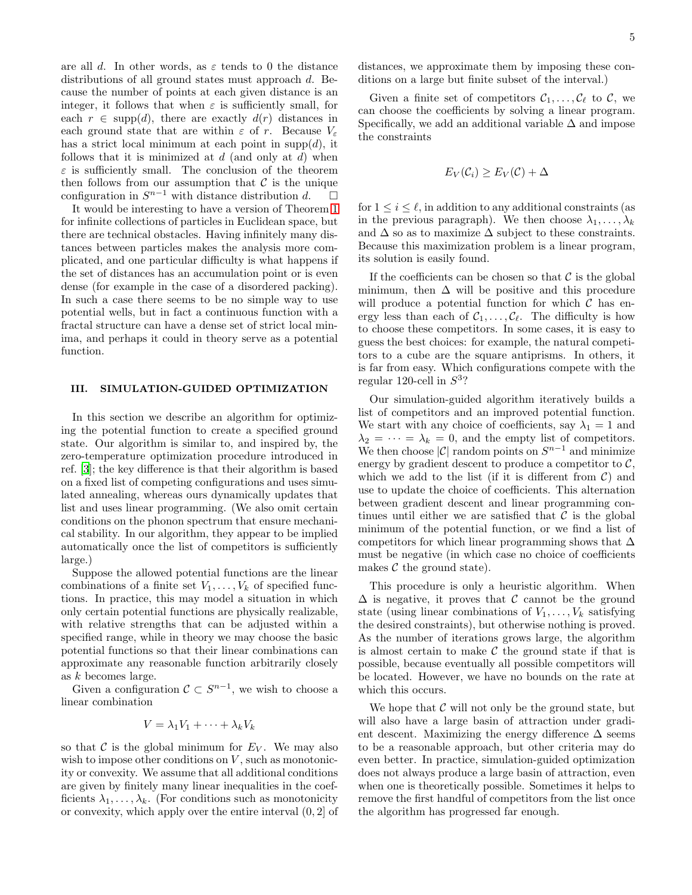are all d. In other words, as  $\varepsilon$  tends to 0 the distance distributions of all ground states must approach d. Because the number of points at each given distance is an integer, it follows that when  $\varepsilon$  is sufficiently small, for each  $r \in \text{supp}(d)$ , there are exactly  $d(r)$  distances in each ground state that are within  $\varepsilon$  of r. Because  $V_{\varepsilon}$ has a strict local minimum at each point in  $supp(d)$ , it follows that it is minimized at  $d$  (and only at  $d$ ) when  $\varepsilon$  is sufficiently small. The conclusion of the theorem then follows from our assumption that C is the unique configuration in  $S^{n-1}$  with distance distribution  $d.$ configuration in  $S^{n-1}$  with distance distribution d.  $\Box$ 

It would be interesting to have a version of Theorem [1](#page-3-2) for infinite collections of particles in Euclidean space, but there are technical obstacles. Having infinitely many distances between particles makes the analysis more complicated, and one particular difficulty is what happens if the set of distances has an accumulation point or is even dense (for example in the case of a disordered packing). In such a case there seems to be no simple way to use potential wells, but in fact a continuous function with a fractal structure can have a dense set of strict local minima, and perhaps it could in theory serve as a potential function.

## III. SIMULATION-GUIDED OPTIMIZATION

In this section we describe an algorithm for optimizing the potential function to create a specified ground state. Our algorithm is similar to, and inspired by, the zero-temperature optimization procedure introduced in ref. [\[3\]](#page-7-2); the key difference is that their algorithm is based on a fixed list of competing configurations and uses simulated annealing, whereas ours dynamically updates that list and uses linear programming. (We also omit certain conditions on the phonon spectrum that ensure mechanical stability. In our algorithm, they appear to be implied automatically once the list of competitors is sufficiently large.)

Suppose the allowed potential functions are the linear combinations of a finite set  $V_1, \ldots, V_k$  of specified functions. In practice, this may model a situation in which only certain potential functions are physically realizable, with relative strengths that can be adjusted within a specified range, while in theory we may choose the basic potential functions so that their linear combinations can approximate any reasonable function arbitrarily closely as k becomes large.

Given a configuration  $C \subset S^{n-1}$ , we wish to choose a linear combination

$$
V = \lambda_1 V_1 + \dots + \lambda_k V_k
$$

so that  $\mathcal C$  is the global minimum for  $E_V$ . We may also wish to impose other conditions on  $V$ , such as monotonicity or convexity. We assume that all additional conditions are given by finitely many linear inequalities in the coefficients  $\lambda_1, \ldots, \lambda_k$ . (For conditions such as monotonicity or convexity, which apply over the entire interval (0, 2] of distances, we approximate them by imposing these conditions on a large but finite subset of the interval.)

Given a finite set of competitors  $\mathcal{C}_1, \ldots, \mathcal{C}_{\ell}$  to  $\mathcal{C}$ , we can choose the coefficients by solving a linear program. Specifically, we add an additional variable  $\Delta$  and impose the constraints

$$
E_V(\mathcal{C}_i) \ge E_V(\mathcal{C}) + \Delta
$$

for  $1 \leq i \leq \ell$ , in addition to any additional constraints (as in the previous paragraph). We then choose  $\lambda_1, \ldots, \lambda_k$ and  $\Delta$  so as to maximize  $\Delta$  subject to these constraints. Because this maximization problem is a linear program, its solution is easily found.

If the coefficients can be chosen so that  $\mathcal C$  is the global minimum, then  $\Delta$  will be positive and this procedure will produce a potential function for which  $\mathcal C$  has energy less than each of  $C_1, \ldots, C_\ell$ . The difficulty is how to choose these competitors. In some cases, it is easy to guess the best choices: for example, the natural competitors to a cube are the square antiprisms. In others, it is far from easy. Which configurations compete with the regular 120-cell in  $S^3$ ?

Our simulation-guided algorithm iteratively builds a list of competitors and an improved potential function. We start with any choice of coefficients, say  $\lambda_1 = 1$  and  $\lambda_2 = \cdots = \lambda_k = 0$ , and the empty list of competitors. We then choose  $|\mathcal{C}|$  random points on  $S^{n-1}$  and minimize energy by gradient descent to produce a competitor to  $\mathcal{C}$ , which we add to the list (if it is different from  $C$ ) and use to update the choice of coefficients. This alternation between gradient descent and linear programming continues until either we are satisfied that  $\mathcal C$  is the global minimum of the potential function, or we find a list of competitors for which linear programming shows that  $\Delta$ must be negative (in which case no choice of coefficients makes  $\mathcal C$  the ground state).

This procedure is only a heuristic algorithm. When  $\Delta$  is negative, it proves that C cannot be the ground state (using linear combinations of  $V_1, \ldots, V_k$  satisfying the desired constraints), but otherwise nothing is proved. As the number of iterations grows large, the algorithm is almost certain to make  $\mathcal C$  the ground state if that is possible, because eventually all possible competitors will be located. However, we have no bounds on the rate at which this occurs.

We hope that  $\mathcal C$  will not only be the ground state, but will also have a large basin of attraction under gradient descent. Maximizing the energy difference  $\Delta$  seems to be a reasonable approach, but other criteria may do even better. In practice, simulation-guided optimization does not always produce a large basin of attraction, even when one is theoretically possible. Sometimes it helps to remove the first handful of competitors from the list once the algorithm has progressed far enough.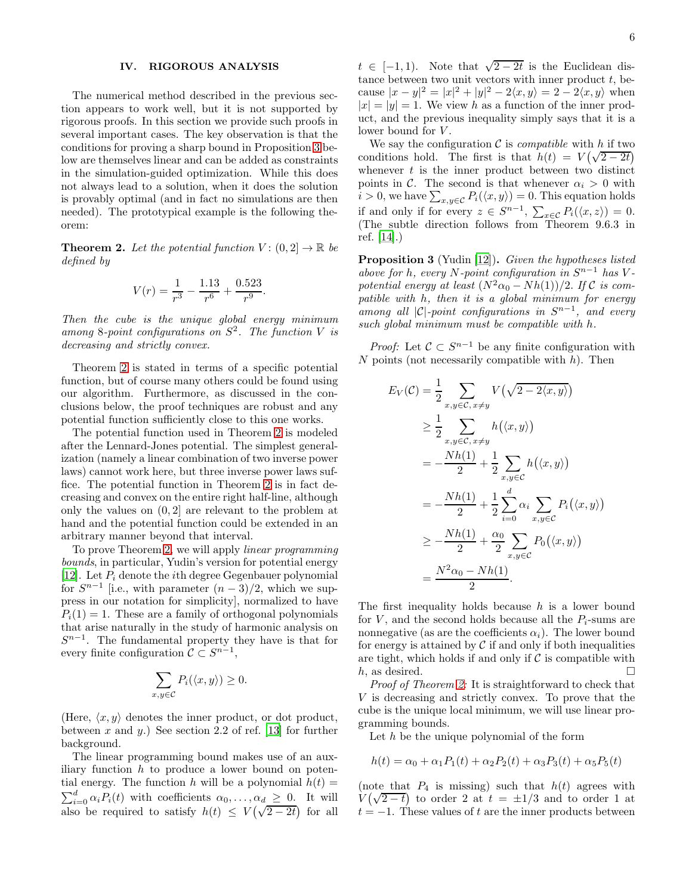## IV. RIGOROUS ANALYSIS

The numerical method described in the previous section appears to work well, but it is not supported by rigorous proofs. In this section we provide such proofs in several important cases. The key observation is that the conditions for proving a sharp bound in Proposition [3](#page-5-0) below are themselves linear and can be added as constraints in the simulation-guided optimization. While this does not always lead to a solution, when it does the solution is provably optimal (and in fact no simulations are then needed). The prototypical example is the following theorem:

<span id="page-5-1"></span>**Theorem 2.** Let the potential function  $V : (0, 2] \rightarrow \mathbb{R}$  be *defined by*

$$
V(r) = \frac{1}{r^3} - \frac{1.13}{r^6} + \frac{0.523}{r^9}.
$$

*Then the cube is the unique global energy minimum among* 8*-point configurations on* S 2 *. The function* V *is decreasing and strictly convex.*

Theorem [2](#page-5-1) is stated in terms of a specific potential function, but of course many others could be found using our algorithm. Furthermore, as discussed in the conclusions below, the proof techniques are robust and any potential function sufficiently close to this one works.

The potential function used in Theorem [2](#page-5-1) is modeled after the Lennard-Jones potential. The simplest generalization (namely a linear combination of two inverse power laws) cannot work here, but three inverse power laws suffice. The potential function in Theorem [2](#page-5-1) is in fact decreasing and convex on the entire right half-line, although only the values on (0, 2] are relevant to the problem at hand and the potential function could be extended in an arbitrary manner beyond that interval.

To prove Theorem [2,](#page-5-1) we will apply *linear programming bounds*, in particular, Yudin's version for potential energy [\[12\]](#page-7-11). Let  $P_i$  denote the *i*th degree Gegenbauer polynomial for  $S^{n-1}$  [i.e., with parameter  $(n-3)/2$ , which we suppress in our notation for simplicity], normalized to have  $P_i(1) = 1$ . These are a family of orthogonal polynomials that arise naturally in the study of harmonic analysis on  $S^{n-1}$ . The fundamental property they have is that for every finite configuration  $C \subset S^{n-1}$ ,

$$
\sum_{x,y \in \mathcal{C}} P_i(\langle x,y \rangle) \ge 0.
$$

(Here,  $\langle x, y \rangle$  denotes the inner product, or dot product, between x and y.) See section 2.2 of ref. [\[13](#page-7-12)] for further background.

The linear programming bound makes use of an auxiliary function  $h$  to produce a lower bound on potential energy. The function h will be a polynomial  $h(t) =$  $\sum_{i=0}^{d} \alpha_i P_i(t)$  with coefficients  $\alpha_0, \ldots, \alpha_d \geq 0$ . It will also be required to satisfy  $h(t) \leq V(\sqrt{2-2t})$  for all

 $t \in [-1, 1)$ . Note that  $\sqrt{2 - 2t}$  is the Euclidean distance between two unit vectors with inner product  $t$ , because  $|x - y|^2 = |x|^2 + |y|^2 - 2\langle x, y \rangle = 2 - 2\langle x, y \rangle$  when  $|x| = |y| = 1$ . We view h as a function of the inner product, and the previous inequality simply says that it is a lower bound for V.

We say the configuration  $\mathcal C$  is *compatible* with h if two conditions hold. The first is that  $h(t) = V(\sqrt{2-2t})$ whenever  $t$  is the inner product between two distinct points in C. The second is that whenever  $\alpha_i > 0$  with  $i > 0$ , we have  $\sum_{x,y \in \mathcal{C}} P_i(\langle x, y \rangle) = 0$ . This equation holds if and only if for every  $z \in S^{n-1}$ ,  $\sum_{x \in C} P_i(\langle x, z \rangle) = 0$ . (The subtle direction follows from Theorem 9.6.3 in ref. [\[14](#page-7-13)].)

<span id="page-5-0"></span>Proposition 3 (Yudin [\[12\]](#page-7-11)). *Given the hypotheses listed above for* h*, every* N*-point configuration in* S <sup>n</sup>−<sup>1</sup> *has* V  *potential energy at least*  $(N^2\alpha_0 - Nh(1))/2$ . *If* C *is compatible with* h*, then it is a global minimum for energy among all* |C|*-point configurations in* S n−1 *, and every such global minimum must be compatible with* h*.*

*Proof:* Let  $C \subset S^{n-1}$  be any finite configuration with  $N$  points (not necessarily compatible with  $h$ ). Then

$$
E_V(\mathcal{C}) = \frac{1}{2} \sum_{x,y \in \mathcal{C}, x \neq y} V(\sqrt{2 - 2\langle x, y \rangle})
$$
  
\n
$$
\geq \frac{1}{2} \sum_{x,y \in \mathcal{C}, x \neq y} h(\langle x, y \rangle)
$$
  
\n
$$
= -\frac{Nh(1)}{2} + \frac{1}{2} \sum_{x,y \in \mathcal{C}} h(\langle x, y \rangle)
$$
  
\n
$$
= -\frac{Nh(1)}{2} + \frac{1}{2} \sum_{i=0}^{d} \alpha_i \sum_{x,y \in \mathcal{C}} P_i(\langle x, y \rangle)
$$
  
\n
$$
\geq -\frac{Nh(1)}{2} + \frac{\alpha_0}{2} \sum_{x,y \in \mathcal{C}} P_0(\langle x, y \rangle)
$$
  
\n
$$
= \frac{N^2 \alpha_0 - Nh(1)}{2}.
$$

The first inequality holds because  $h$  is a lower bound for V, and the second holds because all the  $P_i$ -sums are nonnegative (as are the coefficients  $\alpha_i$ ). The lower bound for energy is attained by  $\mathcal C$  if and only if both inequalities are tight, which holds if and only if  $\mathcal C$  is compatible with  $h$  as desired h, as desired.

*Proof of Theorem [2:](#page-5-1)* It is straightforward to check that V is decreasing and strictly convex. To prove that the cube is the unique local minimum, we will use linear programming bounds.

Let  $h$  be the unique polynomial of the form

$$
h(t) = \alpha_0 + \alpha_1 P_1(t) + \alpha_2 P_2(t) + \alpha_3 P_3(t) + \alpha_5 P_5(t)
$$

(note that  $P_4$  is missing) such that  $h(t)$  agrees with  $V(\sqrt{2-t})$  to order 2 at  $t = \pm 1/3$  and to order 1 at  $t = -1$ . These values of t are the inner products between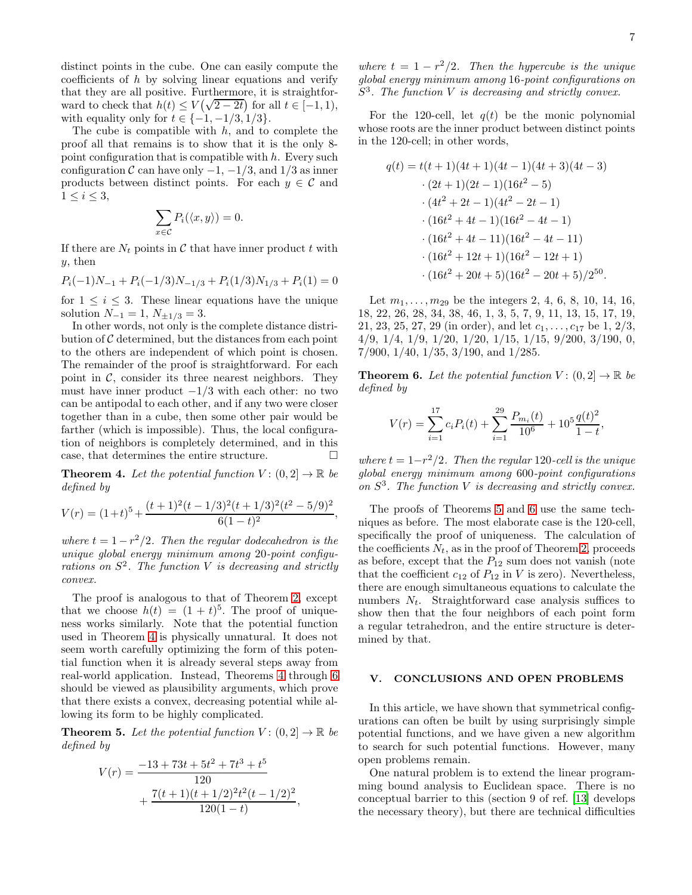distinct points in the cube. One can easily compute the coefficients of h by solving linear equations and verify that they are all positive. Furthermore, it is straightforward to check that  $h(t) \le V(\sqrt{2-2t})$  for all  $t \in [-1, 1)$ , with equality only for  $t \in \{-1, -1/3, 1/3\}.$ 

The cube is compatible with  $h$ , and to complete the proof all that remains is to show that it is the only 8 point configuration that is compatible with  $h$ . Every such configuration C can have only  $-1$ ,  $-1/3$ , and  $1/3$  as inner products between distinct points. For each  $y \in \mathcal{C}$  and  $1 \leq i \leq 3$ ,

$$
\sum_{x \in \mathcal{C}} P_i(\langle x, y \rangle) = 0.
$$

If there are  $N_t$  points in  $\mathcal C$  that have inner product  $t$  with y, then

$$
P_i(-1)N_{-1} + P_i(-1/3)N_{-1/3} + P_i(1/3)N_{1/3} + P_i(1) = 0
$$

for  $1 \leq i \leq 3$ . These linear equations have the unique solution  $N_{-1} = 1$ ,  $N_{\pm 1/3} = 3$ .

In other words, not only is the complete distance distribution of  $\mathcal C$  determined, but the distances from each point to the others are independent of which point is chosen. The remainder of the proof is straightforward. For each point in  $\mathcal{C}$ , consider its three nearest neighbors. They must have inner product  $-1/3$  with each other: no two can be antipodal to each other, and if any two were closer together than in a cube, then some other pair would be farther (which is impossible). Thus, the local configuration of neighbors is completely determined, and in this case, that determines the entire structure.

<span id="page-6-0"></span>**Theorem 4.** Let the potential function  $V : (0, 2] \rightarrow \mathbb{R}$  be *defined by*

$$
V(r) = (1+t)^5 + \frac{(t+1)^2(t-1/3)^2(t+1/3)^2(t^2-5/9)^2}{6(1-t)^2},
$$

*where*  $t = 1 - r^2/2$ *. Then the regular dodecahedron is the unique global energy minimum among* 20*-point configurations on* S 2 *. The function* V *is decreasing and strictly convex.*

The proof is analogous to that of Theorem [2,](#page-5-1) except that we choose  $h(t) = (1 + t)^5$ . The proof of uniqueness works similarly. Note that the potential function used in Theorem [4](#page-6-0) is physically unnatural. It does not seem worth carefully optimizing the form of this potential function when it is already several steps away from real-world application. Instead, Theorems [4](#page-6-0) through [6](#page-6-1) should be viewed as plausibility arguments, which prove that there exists a convex, decreasing potential while allowing its form to be highly complicated.

<span id="page-6-2"></span>**Theorem 5.** Let the potential function  $V: (0, 2] \rightarrow \mathbb{R}$  be *defined by*

$$
V(r) = \frac{-13 + 73t + 5t^2 + 7t^3 + t^5}{120} + \frac{7(t+1)(t+1/2)^2 t^2 (t-1/2)^2}{120(1-t)},
$$

*where*  $t = 1 - r^2/2$ *. Then the hypercube is the unique global energy minimum among* 16*-point configurations on* S 3 *. The function* V *is decreasing and strictly convex.*

For the 120-cell, let  $q(t)$  be the monic polynomial whose roots are the inner product between distinct points in the 120-cell; in other words,

$$
q(t) = t(t+1)(4t+1)(4t-1)(4t+3)(4t-3)
$$
  
\n
$$
\cdot (2t+1)(2t-1)(16t^2-5)
$$
  
\n
$$
\cdot (4t^2+2t-1)(4t^2-2t-1)
$$
  
\n
$$
\cdot (16t^2+4t-1)(16t^2-4t-1)
$$
  
\n
$$
\cdot (16t^2+4t-11)(16t^2-4t-11)
$$
  
\n
$$
\cdot (16t^2+12t+1)(16t^2-12t+1)
$$
  
\n
$$
\cdot (16t^2+20t+5)(16t^2-20t+5)/2^{50}.
$$

Let  $m_1, \ldots, m_{29}$  be the integers 2, 4, 6, 8, 10, 14, 16, 18, 22, 26, 28, 34, 38, 46, 1, 3, 5, 7, 9, 11, 13, 15, 17, 19, 21, 23, 25, 27, 29 (in order), and let  $c_1, \ldots, c_{17}$  be 1, 2/3, 4/9, 1/4, 1/9, 1/20, 1/20, 1/15, 1/15, 9/200, 3/190, 0, 7/900, 1/40, 1/35, 3/190, and 1/285.

<span id="page-6-1"></span>**Theorem 6.** Let the potential function  $V: (0, 2] \rightarrow \mathbb{R}$  be *defined by*

$$
V(r) = \sum_{i=1}^{17} c_i P_i(t) + \sum_{i=1}^{29} \frac{P_{m_i}(t)}{10^6} + 10^5 \frac{q(t)^2}{1-t},
$$

*where*  $t = 1 - r^2/2$ *. Then the regular* 120*-cell is the unique global energy minimum among* 600*-point configurations on* S 3 *. The function* V *is decreasing and strictly convex.*

The proofs of Theorems [5](#page-6-2) and [6](#page-6-1) use the same techniques as before. The most elaborate case is the 120-cell, specifically the proof of uniqueness. The calculation of the coefficients  $N_t$ , as in the proof of Theorem [2,](#page-5-1) proceeds as before, except that the  $P_{12}$  sum does not vanish (note that the coefficient  $c_{12}$  of  $P_{12}$  in V is zero). Nevertheless, there are enough simultaneous equations to calculate the numbers  $N_t$ . Straightforward case analysis suffices to show then that the four neighbors of each point form a regular tetrahedron, and the entire structure is determined by that.

### V. CONCLUSIONS AND OPEN PROBLEMS

In this article, we have shown that symmetrical configurations can often be built by using surprisingly simple potential functions, and we have given a new algorithm to search for such potential functions. However, many open problems remain.

One natural problem is to extend the linear programming bound analysis to Euclidean space. There is no conceptual barrier to this (section 9 of ref. [\[13](#page-7-12)] develops the necessary theory), but there are technical difficulties